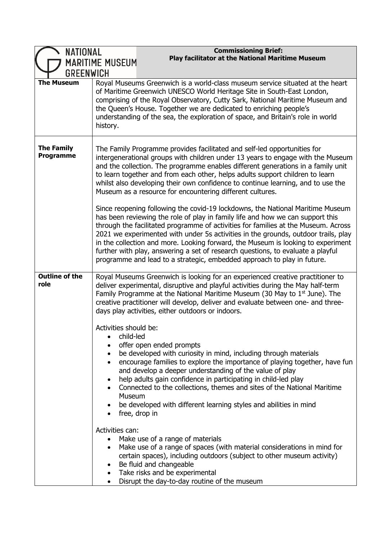| NATIONAL<br><b>GREENWICH</b>          | <b>Commissioning Brief:</b><br><b>Play facilitator at the National Maritime Museum</b><br>MARITIME MUSEUM                                                                                                                                                                                                                                                                                                                                                                                                                                                           |
|---------------------------------------|---------------------------------------------------------------------------------------------------------------------------------------------------------------------------------------------------------------------------------------------------------------------------------------------------------------------------------------------------------------------------------------------------------------------------------------------------------------------------------------------------------------------------------------------------------------------|
| <b>The Museum</b>                     | Royal Museums Greenwich is a world-class museum service situated at the heart<br>of Maritime Greenwich UNESCO World Heritage Site in South-East London,<br>comprising of the Royal Observatory, Cutty Sark, National Maritime Museum and<br>the Queen's House. Together we are dedicated to enriching people's<br>understanding of the sea, the exploration of space, and Britain's role in world<br>history.                                                                                                                                                       |
| <b>The Family</b><br><b>Programme</b> | The Family Programme provides facilitated and self-led opportunities for<br>intergenerational groups with children under 13 years to engage with the Museum<br>and the collection. The programme enables different generations in a family unit<br>to learn together and from each other, helps adults support children to learn<br>whilst also developing their own confidence to continue learning, and to use the<br>Museum as a resource for encountering different cultures.<br>Since reopening following the covid-19 lockdowns, the National Maritime Museum |
|                                       | has been reviewing the role of play in family life and how we can support this<br>through the facilitated programme of activities for families at the Museum. Across<br>2021 we experimented with under 5s activities in the grounds, outdoor trails, play<br>in the collection and more. Looking forward, the Museum is looking to experiment<br>further with play, answering a set of research questions, to evaluate a playful<br>programme and lead to a strategic, embedded approach to play in future.                                                        |
| <b>Outline of the</b><br>role         | Royal Museums Greenwich is looking for an experienced creative practitioner to<br>deliver experimental, disruptive and playful activities during the May half-term<br>Family Programme at the National Maritime Museum (30 May to 1 <sup>st</sup> June). The<br>creative practitioner will develop, deliver and evaluate between one- and three-<br>days play activities, either outdoors or indoors.                                                                                                                                                               |
|                                       | Activities should be:<br>child-led<br>offer open ended prompts<br>be developed with curiosity in mind, including through materials<br>$\bullet$<br>encourage families to explore the importance of playing together, have fun<br>and develop a deeper understanding of the value of play<br>help adults gain confidence in participating in child-led play<br>٠<br>Connected to the collections, themes and sites of the National Maritime<br>Museum<br>be developed with different learning styles and abilities in mind<br>free, drop in                          |
|                                       | Activities can:<br>Make use of a range of materials<br>Make use of a range of spaces (with material considerations in mind for<br>certain spaces), including outdoors (subject to other museum activity)<br>Be fluid and changeable<br>$\bullet$<br>• Take risks and be experimental<br>Disrupt the day-to-day routine of the museum                                                                                                                                                                                                                                |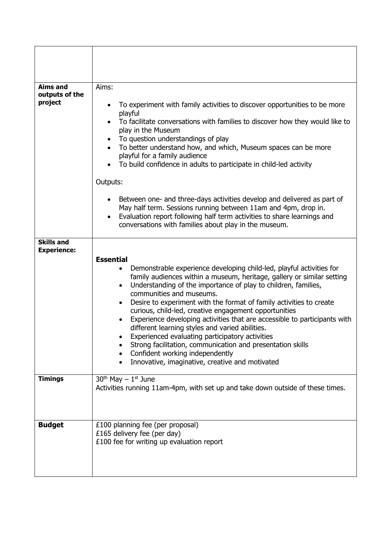| <b>Aims and</b><br>outputs of the<br>project | Aims:<br>To experiment with family activities to discover opportunities to be more<br>playful<br>To facilitate conversations with families to discover how they would like to<br>play in the Museum<br>To question understandings of play<br>To better understand how, and which, Museum spaces can be more<br>$\bullet$<br>playful for a family audience<br>To build confidence in adults to participate in child-led activity<br>Outputs:                                                                                                                                                                                                                                                                                                          |
|----------------------------------------------|------------------------------------------------------------------------------------------------------------------------------------------------------------------------------------------------------------------------------------------------------------------------------------------------------------------------------------------------------------------------------------------------------------------------------------------------------------------------------------------------------------------------------------------------------------------------------------------------------------------------------------------------------------------------------------------------------------------------------------------------------|
|                                              | Between one- and three-days activities develop and delivered as part of<br>$\bullet$<br>May half term. Sessions running between 11am and 4pm, drop in.<br>Evaluation report following half term activities to share learnings and<br>$\bullet$<br>conversations with families about play in the museum.                                                                                                                                                                                                                                                                                                                                                                                                                                              |
| <b>Skills and</b><br><b>Experience:</b>      | <b>Essential</b><br>Demonstrable experience developing child-led, playful activities for<br>family audiences within a museum, heritage, gallery or similar setting<br>Understanding of the importance of play to children, families,<br>$\bullet$<br>communities and museums.<br>Desire to experiment with the format of family activities to create<br>curious, child-led, creative engagement opportunities<br>Experience developing activities that are accessible to participants with<br>different learning styles and varied abilities.<br>Experienced evaluating participatory activities<br>Strong facilitation, communication and presentation skills<br>Confident working independently<br>Innovative, imaginative, creative and motivated |
| <b>Timings</b>                               | $30th$ May $-1st$ June<br>Activities running 11am-4pm, with set up and take down outside of these times.                                                                                                                                                                                                                                                                                                                                                                                                                                                                                                                                                                                                                                             |
| <b>Budget</b>                                | £100 planning fee (per proposal)<br>£165 delivery fee (per day)<br>£100 fee for writing up evaluation report                                                                                                                                                                                                                                                                                                                                                                                                                                                                                                                                                                                                                                         |